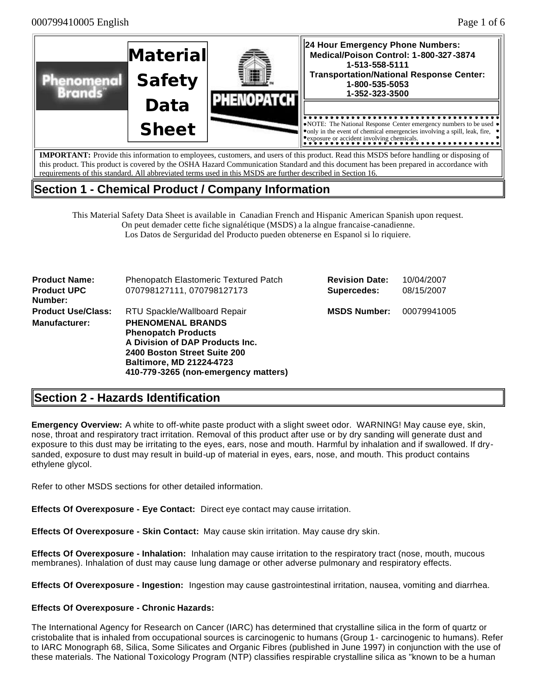

**IMPORTANT:** Provide this information to employees, customers, and users of this product. Read this MSDS before handling or disposing of this product. This product is covered by the OSHA Hazard Communication Standard and this document has been prepared in accordance with requirements of this standard. All abbreviated terms used in this MSDS are further described in Section 16.

# **Section 1 - Chemical Product / Company Information**

This Material Safety Data Sheet is available in Canadian French and Hispanic American Spanish upon request. On peut demader cette fiche signalétique (MSDS) a la alngue francaise-canadienne. Los Datos de Serguridad del Producto pueden obtenerse en Espanol si lo riquiere.

| <b>Product Name:</b><br><b>Product UPC</b><br>Number: | <b>Phenopatch Elastomeric Textured Patch</b><br>070798127111, 070798127173                                                                                                                                                           | <b>Revision Date:</b><br>Supercedes: | 10/04/2007<br>08/15/2007 |
|-------------------------------------------------------|--------------------------------------------------------------------------------------------------------------------------------------------------------------------------------------------------------------------------------------|--------------------------------------|--------------------------|
| <b>Product Use/Class:</b><br><b>Manufacturer:</b>     | RTU Spackle/Wallboard Repair<br><b>PHENOMENAL BRANDS</b><br><b>Phenopatch Products</b><br>A Division of DAP Products Inc.<br>2400 Boston Street Suite 200<br><b>Baltimore, MD 21224-4723</b><br>410-779-3265 (non-emergency matters) | <b>MSDS Number:</b>                  | 00079941005              |

# **Section 2 - Hazards Identification**

**Emergency Overview:** A white to off-white paste product with a slight sweet odor. WARNING! May cause eye, skin, nose, throat and respiratory tract irritation. Removal of this product after use or by dry sanding will generate dust and exposure to this dust may be irritating to the eyes, ears, nose and mouth. Harmful by inhalation and if swallowed. If drysanded, exposure to dust may result in build-up of material in eyes, ears, nose, and mouth. This product contains ethylene glycol.

Refer to other MSDS sections for other detailed information.

**Effects Of Overexposure - Eye Contact:** Direct eye contact may cause irritation.

**Effects Of Overexposure - Skin Contact:** May cause skin irritation. May cause dry skin.

**Effects Of Overexposure - Inhalation:** Inhalation may cause irritation to the respiratory tract (nose, mouth, mucous membranes). Inhalation of dust may cause lung damage or other adverse pulmonary and respiratory effects.

**Effects Of Overexposure - Ingestion:** Ingestion may cause gastrointestinal irritation, nausea, vomiting and diarrhea.

#### **Effects Of Overexposure - Chronic Hazards:**

The International Agency for Research on Cancer (IARC) has determined that crystalline silica in the form of quartz or cristobalite that is inhaled from occupational sources is carcinogenic to humans (Group 1- carcinogenic to humans). Refer to IARC Monograph 68, Silica, Some Silicates and Organic Fibres (published in June 1997) in conjunction with the use of these materials. The National Toxicology Program (NTP) classifies respirable crystalline silica as "known to be a human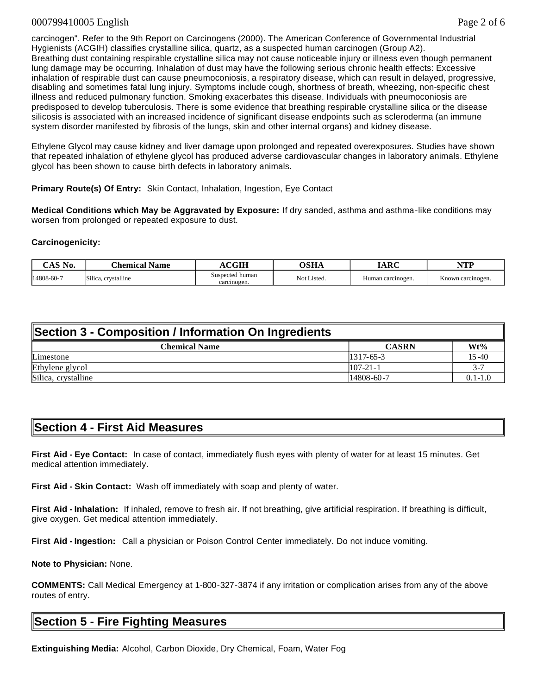#### 000799410005 English Page 2 of 6

carcinogen". Refer to the 9th Report on Carcinogens (2000). The American Conference of Governmental Industrial Hygienists (ACGIH) classifies crystalline silica, quartz, as a suspected human carcinogen (Group A2). Breathing dust containing respirable crystalline silica may not cause noticeable injury or illness even though permanent lung damage may be occurring. Inhalation of dust may have the following serious chronic health effects: Excessive inhalation of respirable dust can cause pneumoconiosis, a respiratory disease, which can result in delayed, progressive, disabling and sometimes fatal lung injury. Symptoms include cough, shortness of breath, wheezing, non-specific chest illness and reduced pulmonary function. Smoking exacerbates this disease. Individuals with pneumoconiosis are predisposed to develop tuberculosis. There is some evidence that breathing respirable crystalline silica or the disease silicosis is associated with an increased incidence of significant disease endpoints such as scleroderma (an immune system disorder manifested by fibrosis of the lungs, skin and other internal organs) and kidney disease.

Ethylene Glycol may cause kidney and liver damage upon prolonged and repeated overexposures. Studies have shown that repeated inhalation of ethylene glycol has produced adverse cardiovascular changes in laboratory animals. Ethylene glycol has been shown to cause birth defects in laboratory animals.

**Primary Route(s) Of Entry:** Skin Contact, Inhalation, Ingestion, Eye Contact

**Medical Conditions which May be Aggravated by Exposure:** If dry sanded, asthma and asthma-like conditions may worsen from prolonged or repeated exposure to dust.

#### **Carcinogenicity:**

| CAS No.    | Name<br>:hemical    | <b>CGIH</b>                    | <b>OSHA</b> | $\mathbf{I}$ and $\mathbf{I}$<br>.AKU | VTT               |
|------------|---------------------|--------------------------------|-------------|---------------------------------------|-------------------|
| 14808-60-7 | Silica, crystalline | Suspected human<br>carcinogen. | Not Listed. | Human carcinogen.                     | Known carcinogen. |

| Section 3 - Composition / Information On Ingredients |                 |             |
|------------------------------------------------------|-----------------|-------------|
| <b>Chemical Name</b>                                 | <b>CASRN</b>    | $Wt\%$      |
| Limestone                                            | $1317 - 65 - 3$ | $15 - 40$   |
| Ethylene glycol                                      | $107 - 21 - 1$  | $3 - 7$     |
| Silica, crystalline                                  | 14808-60-7      | $0.1 - 1.0$ |

# **Section 4 - First Aid Measures**

**First Aid - Eye Contact:** In case of contact, immediately flush eyes with plenty of water for at least 15 minutes. Get medical attention immediately.

**First Aid - Skin Contact:** Wash off immediately with soap and plenty of water.

**First Aid - Inhalation:** If inhaled, remove to fresh air. If not breathing, give artificial respiration. If breathing is difficult, give oxygen. Get medical attention immediately.

**First Aid - Ingestion:** Call a physician or Poison Control Center immediately. Do not induce vomiting.

**Note to Physician:** None.

**COMMENTS:** Call Medical Emergency at 1-800-327-3874 if any irritation or complication arises from any of the above routes of entry.

# **Section 5 - Fire Fighting Measures**

**Extinguishing Media:** Alcohol, Carbon Dioxide, Dry Chemical, Foam, Water Fog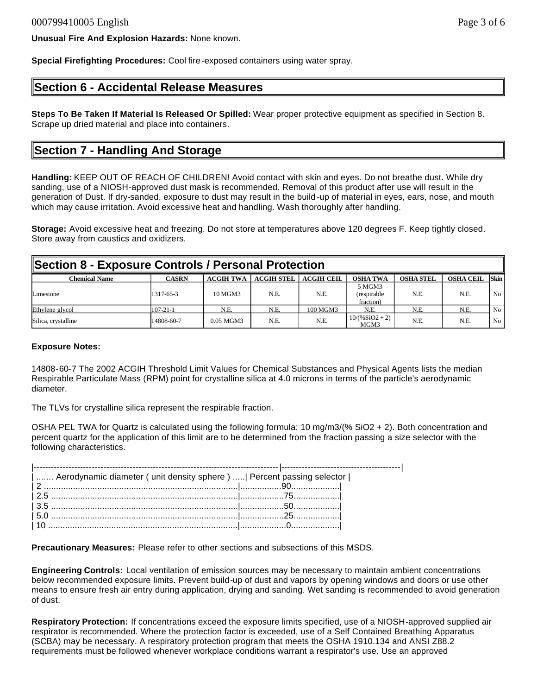**Special Firefighting Procedures:** Cool fire -exposed containers using water spray.

#### **Section 6 - Accidental Release Measures**

**Steps To Be Taken If Material Is Released Or Spilled:** Wear proper protective equipment as specified in Section 8. Scrape up dried material and place into containers.

# **Section 7 - Handling And Storage**

**Handling:** KEEP OUT OF REACH OF CHILDREN! Avoid contact with skin and eyes. Do not breathe dust. While dry sanding, use of a NIOSH-approved dust mask is recommended. Removal of this product after use will result in the generation of Dust. If dry-sanded, exposure to dust may result in the build -up of material in eyes, ears, nose, and mouth which may cause irritation. Avoid excessive heat and handling. Wash thoroughly after handling.

**Storage:** Avoid excessive heat and freezing. Do not store at temperatures above 120 degrees F. Keep tightly closed. Store away from caustics and oxidizers.

| Section 8 - Exposure Controls / Personal Protection |                |                  |                   |                   |                                    |                  |                  |                 |
|-----------------------------------------------------|----------------|------------------|-------------------|-------------------|------------------------------------|------------------|------------------|-----------------|
| <b>Chemical Name</b>                                | <b>CASRN</b>   | <b>ACGIH TWA</b> | <b>ACGIH STEL</b> | <b>ACGIH CEIL</b> | <b>OSHA TWA</b>                    | <b>OSHA STEL</b> | <b>OSHA CEIL</b> | <b>Skin</b>     |
| Limestone                                           | 1317-65-3      | 10 MGM3          | N.E.              | N.E.              | 5 MGM3<br>(respirable<br>fraction) | N.E.             | N.E.             | No <sub>1</sub> |
| Ethylene glycol                                     | $107 - 21 - 1$ | N.E.             | N.E.              | 100 MGM3          | N.E.                               | N.E.             | N.E.             | No <sub>1</sub> |
| Silica, crystalline                                 | 14808-60-7     | 0.05 MGM3        | N.E.              | N.E.              | $10/(%SiO2+2)$<br>MGM3             | N.E.             | N.E.             | No <sub>1</sub> |

#### **Exposure Notes:**

14808-60-7 The 2002 ACGIH Threshold Limit Values for Chemical Substances and Physical Agents lists the median Respirable Particulate Mass (RPM) point for crystalline silica at 4.0 microns in terms of the particle's aerodynamic diameter.

The TLVs for crystalline silica represent the respirable fraction.

OSHA PEL TWA for Quartz is calculated using the following formula: 10 mg/m3/(% SiO2 + 2). Both concentration and percent quartz for the application of this limit are to be determined from the fraction passing a size selector with the following characteristics.

| Aerodynamic diameter (unit density sphere)    Percent passing selector |  |
|------------------------------------------------------------------------|--|
|                                                                        |  |
|                                                                        |  |
|                                                                        |  |
|                                                                        |  |
|                                                                        |  |

**Precautionary Measures:** Please refer to other sections and subsections of this MSDS.

**Engineering Controls:** Local ventilation of emission sources may be necessary to maintain ambient concentrations below recommended exposure limits. Prevent build-up of dust and vapors by opening windows and doors or use other means to ensure fresh air entry during application, drying and sanding. Wet sanding is recommended to avoid generation of dust.

**Respiratory Protection:** If concentrations exceed the exposure limits specified, use of a NIOSH-approved supplied air respirator is recommended. Where the protection factor is exceeded, use of a Self Contained Breathing Apparatus (SCBA) may be necessary. A respiratory protection program that meets the OSHA 1910.134 and ANSI Z88.2 requirements must be followed whenever workplace conditions warrant a respirator's use. Use an approved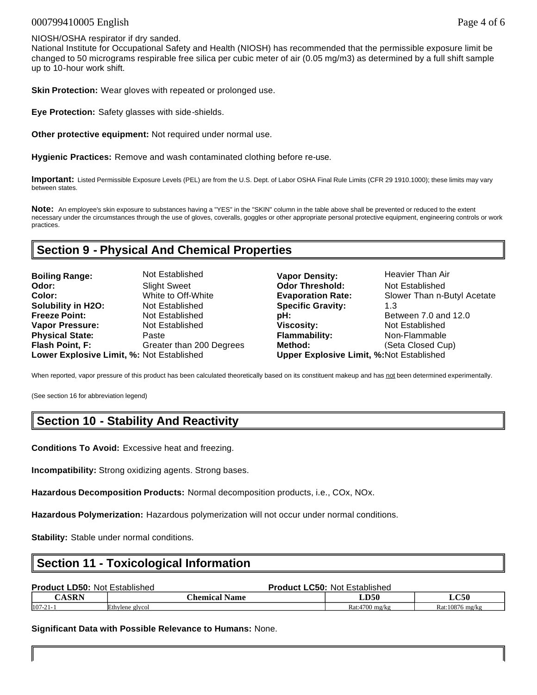#### 000799410005 English Page 4 of 6

#### NIOSH/OSHA respirator if dry sanded.

National Institute for Occupational Safety and Health (NIOSH) has recommended that the permissible exposure limit be changed to 50 micrograms respirable free silica per cubic meter of air (0.05 mg/m3) as determined by a full shift sample up to 10-hour work shift.

**Skin Protection:** Wear gloves with repeated or prolonged use.

**Eye Protection:** Safety glasses with side-shields.

**Other protective equipment:** Not required under normal use.

**Hygienic Practices:** Remove and wash contaminated clothing before re-use.

**Important:** Listed Permissible Exposure Levels (PEL) are from the U.S. Dept. of Labor OSHA Final Rule Limits (CFR 29 1910.1000); these limits may vary between states.

**Note:** An employee's skin exposure to substances having a "YES" in the "SKIN" column in the table above shall be prevented or reduced to the extent necessary under the circumstances through the use of gloves, coveralls, goggles or other appropriate personal protective equipment, engineering controls or work practices.

# **Section 9 - Physical And Chemical Properties**

| <b>Boiling Range:</b>                     | Not Established          | <b>Vapor Density:</b>                           | Heavier Than Air            |
|-------------------------------------------|--------------------------|-------------------------------------------------|-----------------------------|
| Odor:                                     | <b>Slight Sweet</b>      | <b>Odor Threshold:</b>                          | Not Established             |
| Color:                                    | White to Off-White       | <b>Evaporation Rate:</b>                        | Slower Than n-Butyl Acetate |
| <b>Solubility in H2O:</b>                 | Not Established          | <b>Specific Gravity:</b>                        | 1.3                         |
| <b>Freeze Point:</b>                      | Not Established          | pH:                                             | Between 7.0 and 12.0        |
| <b>Vapor Pressure:</b>                    | Not Established          | Viscosity:                                      | Not Established             |
| <b>Physical State:</b>                    | Paste                    | <b>Flammability:</b>                            | Non-Flammable               |
| Flash Point, F:                           | Greater than 200 Degrees | Method:                                         | (Seta Closed Cup)           |
| Lower Explosive Limit, %: Not Established |                          | <b>Upper Explosive Limit, %:Not Established</b> |                             |

When reported, vapor pressure of this product has been calculated theoretically based on its constituent makeup and has not been determined experimentally.

(See section 16 for abbreviation legend)

# **Section 10 - Stability And Reactivity**

**Conditions To Avoid:** Excessive heat and freezing.

**Incompatibility:** Strong oxidizing agents. Strong bases.

**Hazardous Decomposition Products:** Normal decomposition products, i.e., COx, NOx.

**Hazardous Polymerization:** Hazardous polymerization will not occur under normal conditions.

**Stability:** Stable under normal conditions.

# **Section 11 - Toxicological Information**

| <b>Product LD50: Not Established</b> |                 | <b>Product LC50: Not Established</b> |                 |
|--------------------------------------|-----------------|--------------------------------------|-----------------|
| <b>CASRN</b>                         | Chemical Name   | LD50                                 | LC50            |
| $107 - 21 - 1$                       | Ethylene glycol | $Rat:4700$ mg/kg                     | Rat:10876 mg/kg |

**Significant Data with Possible Relevance to Humans:** None.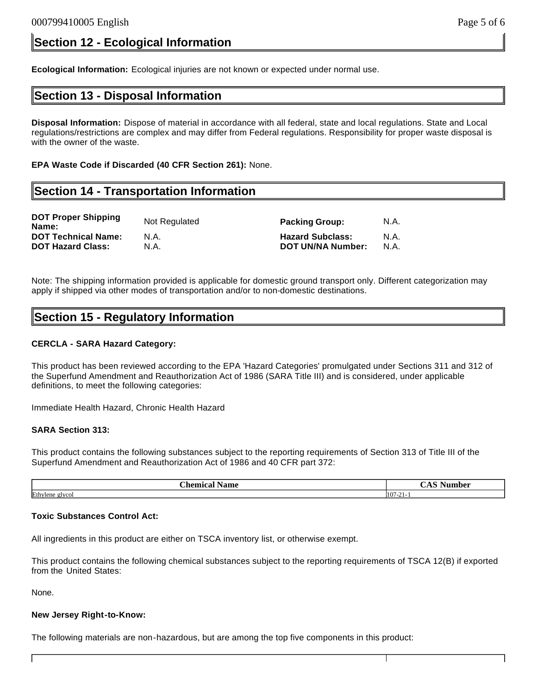# **Section 12 - Ecological Information**

**Ecological Information:** Ecological injuries are not known or expected under normal use.

# **Section 13 - Disposal Information**

**Disposal Information:** Dispose of material in accordance with all federal, state and local regulations. State and Local regulations/restrictions are complex and may differ from Federal regulations. Responsibility for proper waste disposal is with the owner of the waste.

**EPA Waste Code if Discarded (40 CFR Section 261):** None.

# **Section 14 - Transportation Information**

| Not Regulated | <b>Packing Group:</b>                               | N.A.         |
|---------------|-----------------------------------------------------|--------------|
| N.A.<br>N.A.  | <b>Hazard Subclass:</b><br><b>DOT UN/NA Number:</b> | N.A.<br>N.A. |
|               |                                                     |              |

Note: The shipping information provided is applicable for domestic ground transport only. Different categorization may apply if shipped via other modes of transportation and/or to non-domestic destinations.

# **Section 15 - Regulatory Information**

#### **CERCLA - SARA Hazard Category:**

This product has been reviewed according to the EPA 'Hazard Categories' promulgated under Sections 311 and 312 of the Superfund Amendment and Reauthorization Act of 1986 (SARA Title III) and is considered, under applicable definitions, to meet the following categories:

Immediate Health Hazard, Chronic Health Hazard

#### **SARA Section 313:**

This product contains the following substances subject to the reporting requirements of Section 313 of Title III of the Superfund Amendment and Reauthorization Act of 1986 and 40 CFR part 372:

| - - -<br><b>Themica</b><br> | $\sim$    |
|-----------------------------|-----------|
| Ethylene<br>alveo<br>21VUV  | $107 - 2$ |

#### **Toxic Substances Control Act:**

All ingredients in this product are either on TSCA inventory list, or otherwise exempt.

This product contains the following chemical substances subject to the reporting requirements of TSCA 12(B) if exported from the United States:

None.

#### **New Jersey Right-to-Know:**

The following materials are non-hazardous, but are among the top five components in this product: